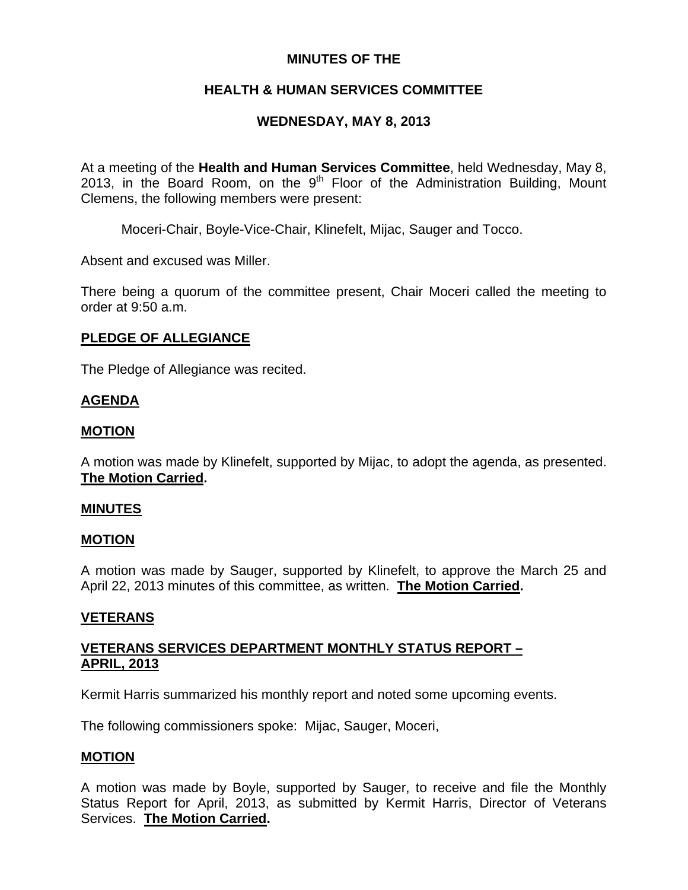# **MINUTES OF THE**

# **HEALTH & HUMAN SERVICES COMMITTEE**

# **WEDNESDAY, MAY 8, 2013**

At a meeting of the **Health and Human Services Committee**, held Wednesday, May 8, 2013, in the Board Room, on the  $9<sup>th</sup>$  Floor of the Administration Building, Mount Clemens, the following members were present:

Moceri-Chair, Boyle-Vice-Chair, Klinefelt, Mijac, Sauger and Tocco.

Absent and excused was Miller.

There being a quorum of the committee present, Chair Moceri called the meeting to order at 9:50 a.m.

# **PLEDGE OF ALLEGIANCE**

The Pledge of Allegiance was recited.

# **AGENDA**

# **MOTION**

A motion was made by Klinefelt, supported by Mijac, to adopt the agenda, as presented. **The Motion Carried.** 

# **MINUTES**

### **MOTION**

A motion was made by Sauger, supported by Klinefelt, to approve the March 25 and April 22, 2013 minutes of this committee, as written. **The Motion Carried.** 

# **VETERANS**

# **VETERANS SERVICES DEPARTMENT MONTHLY STATUS REPORT – APRIL, 2013**

Kermit Harris summarized his monthly report and noted some upcoming events.

The following commissioners spoke: Mijac, Sauger, Moceri,

# **MOTION**

A motion was made by Boyle, supported by Sauger, to receive and file the Monthly Status Report for April, 2013, as submitted by Kermit Harris, Director of Veterans Services. **The Motion Carried.**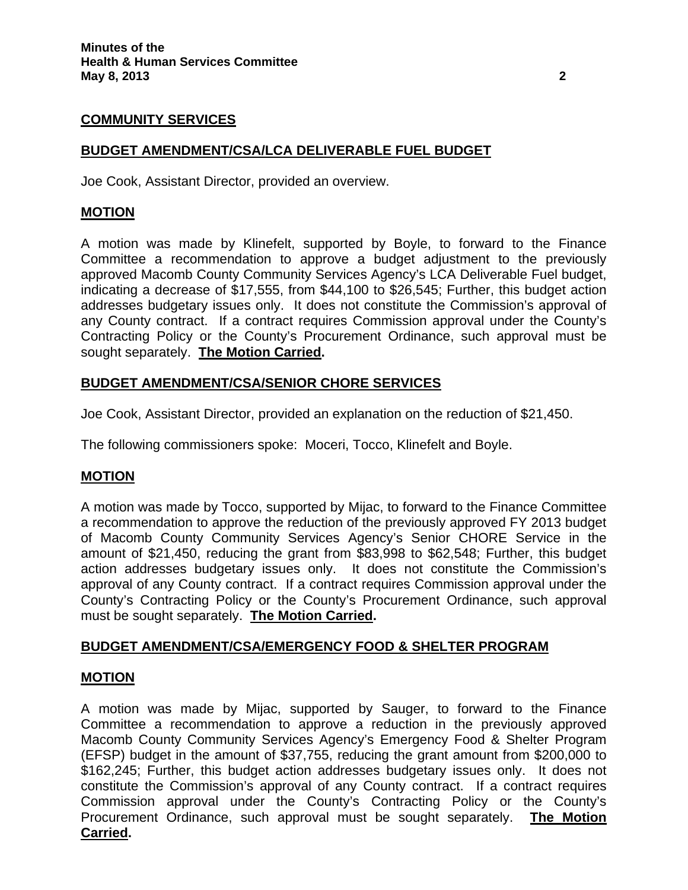### **COMMUNITY SERVICES**

### **BUDGET AMENDMENT/CSA/LCA DELIVERABLE FUEL BUDGET**

Joe Cook, Assistant Director, provided an overview.

### **MOTION**

A motion was made by Klinefelt, supported by Boyle, to forward to the Finance Committee a recommendation to approve a budget adjustment to the previously approved Macomb County Community Services Agency's LCA Deliverable Fuel budget, indicating a decrease of \$17,555, from \$44,100 to \$26,545; Further, this budget action addresses budgetary issues only. It does not constitute the Commission's approval of any County contract. If a contract requires Commission approval under the County's Contracting Policy or the County's Procurement Ordinance, such approval must be sought separately. **The Motion Carried.** 

### **BUDGET AMENDMENT/CSA/SENIOR CHORE SERVICES**

Joe Cook, Assistant Director, provided an explanation on the reduction of \$21,450.

The following commissioners spoke: Moceri, Tocco, Klinefelt and Boyle.

### **MOTION**

A motion was made by Tocco, supported by Mijac, to forward to the Finance Committee a recommendation to approve the reduction of the previously approved FY 2013 budget of Macomb County Community Services Agency's Senior CHORE Service in the amount of \$21,450, reducing the grant from \$83,998 to \$62,548; Further, this budget action addresses budgetary issues only. It does not constitute the Commission's approval of any County contract. If a contract requires Commission approval under the County's Contracting Policy or the County's Procurement Ordinance, such approval must be sought separately. **The Motion Carried.** 

### **BUDGET AMENDMENT/CSA/EMERGENCY FOOD & SHELTER PROGRAM**

#### **MOTION**

A motion was made by Mijac, supported by Sauger, to forward to the Finance Committee a recommendation to approve a reduction in the previously approved Macomb County Community Services Agency's Emergency Food & Shelter Program (EFSP) budget in the amount of \$37,755, reducing the grant amount from \$200,000 to \$162,245; Further, this budget action addresses budgetary issues only. It does not constitute the Commission's approval of any County contract. If a contract requires Commission approval under the County's Contracting Policy or the County's Procurement Ordinance, such approval must be sought separately. **The Motion Carried.**